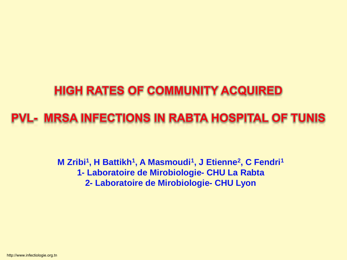### **HIGH RATES OF COMMUNITY ACQUIRED**

### **PVL- MRSA INFECTIONS IN RABTA HOSPITAL OF TUNIS**

**M Zribi<sup>1</sup>, H Battikh<sup>1</sup>, A Masmoudi<sup>1</sup>, J Etienne<sup>2</sup>, C Fendri<sup>1</sup> 1- Laboratoire de Mirobiologie- CHU La Rabta 2- Laboratoire de Mirobiologie- CHU Lyon**

http://www.infectiologie.org.tn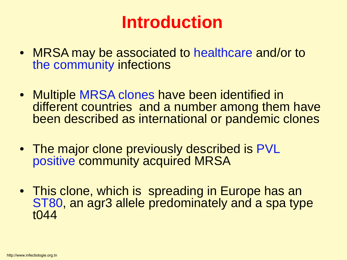## **Introduction**

- MRSA may be associated to healthcare and/or to the community infections
- Multiple MRSA clones have been identified in different countries and a number among them have been described as international or pandemic clones
- The major clone previously described is PVL positive community acquired MRSA
- This clone, which is spreading in Europe has an ST80, an agr3 allele predominately and a spa type t044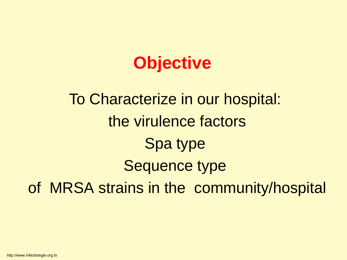## **Objective**

# To Characterize in our hospital: the virulence factors Spa type Sequence type of MRSA strains in the community/hospital

http://www.infectiologie.org.tn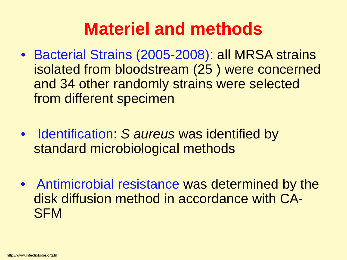## **Materiel and methods**

- Bacterial Strains (2005-2008): all MRSA strains isolated from bloodstream (25 ) were concerned and 34 other randomly strains were selected from different specimen
- Identification: *S aureus* was identified by standard microbiological methods
- Antimicrobial resistance was determined by the disk diffusion method in accordance with CA-**SFM**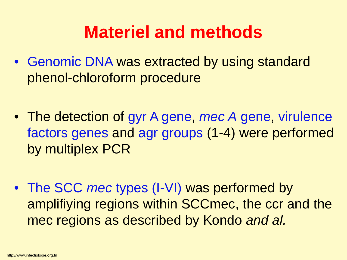## **Materiel and methods**

- Genomic DNA was extracted by using standard phenol-chloroform procedure
- The detection of gyr A gene, *mec A* gene, virulence factors genes and agr groups (1-4) were performed by multiplex PCR
- The SCC *mec* types (I-VI) was performed by amplifiying regions within SCCmec, the ccr and the mec regions as described by Kondo *and al.*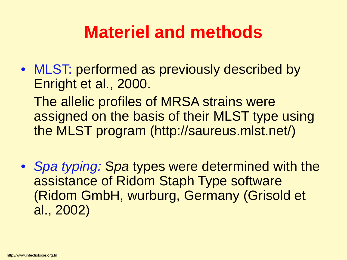## **Materiel and methods**

• MLST: performed as previously described by Enright et al., 2000.

The allelic profiles of MRSA strains were assigned on the basis of their MLST type using the MLST program (http://saureus.mlst.net/)

• *Spa typing:* S*pa* types were determined with the assistance of Ridom Staph Type software (Ridom GmbH, wurburg, Germany (Grisold et al., 2002)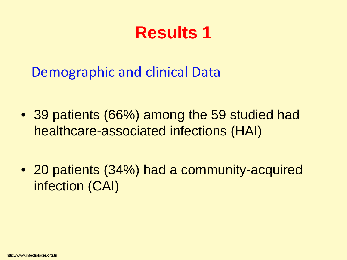Demographic and clinical Data

- 39 patients (66%) among the 59 studied had healthcare-associated infections (HAI)
- 20 patients (34%) had a community-acquired infection (CAI)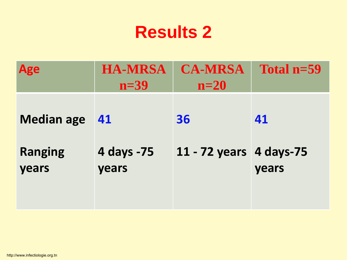| <b>Age</b>              | <b>HA-MRSA</b><br>$n=39$ | <b>CA-MRSA</b><br>$n=20$ | Total $n=59$ |
|-------------------------|--------------------------|--------------------------|--------------|
| <b>Median age</b>       | 41                       | 36                       | 41           |
| <b>Ranging</b><br>years | 4 days -75<br>years      | 11 - 72 years 4 days-75  | years        |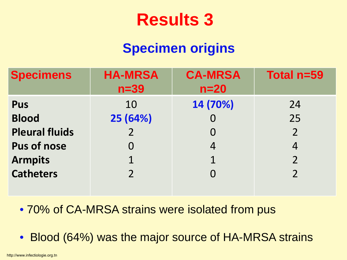### **Specimen origins**

| <b>HA-MRSA</b><br>$n=39$ | <b>CA-MRSA</b><br>$n=20$ | Total n=59               |
|--------------------------|--------------------------|--------------------------|
| 10                       | 14 (70%)                 | 24                       |
| 25 (64%)                 |                          | 25                       |
|                          | 0                        | $\overline{\phantom{a}}$ |
|                          | 4                        |                          |
|                          | $\mathbf 1$              |                          |
|                          |                          | $\mathcal{P}$            |
|                          |                          |                          |

• 70% of CA-MRSA strains were isolated from pus

• Blood (64%) was the major source of HA-MRSA strains

http://www.infectiologie.org.tn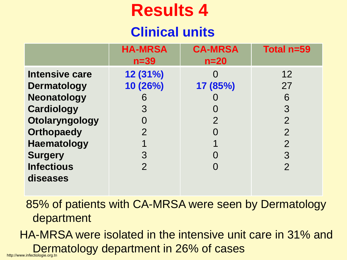### **Clinical units**

|                                                                                                                                                                       | <b>HA-MRSA</b><br>$n=39$                              | <b>CA-MRSA</b><br>$n=20$   | Total n=59                                                                    |
|-----------------------------------------------------------------------------------------------------------------------------------------------------------------------|-------------------------------------------------------|----------------------------|-------------------------------------------------------------------------------|
| <b>Intensive care</b><br><b>Dermatology</b><br><b>Neonatology</b><br><b>Cardiology</b><br>Otolaryngology<br><b>Orthopaedy</b><br><b>Haematology</b><br><b>Surgery</b> | 12 (31%)<br>10 (26%)<br>6<br>3<br>$\overline{2}$<br>3 | 17 (85%)<br>$\overline{2}$ | 12<br>27<br>6<br>3<br>$\overline{2}$<br>$\overline{2}$<br>$\overline{2}$<br>3 |
| <b>Infectious</b><br>diseases                                                                                                                                         | 2                                                     |                            | $\overline{2}$                                                                |

85% of patients with CA-MRSA were seen by Dermatology department

HA-MRSA were isolated in the intensive unit care in 31% and Dermatology department in 26% of cases http://www.infectiologie.org.tn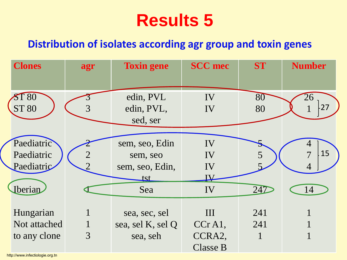#### **Distribution of isolates according agr group and toxin genes**

| <b>Clones</b> | agr | <b>Toxin gene</b> | <b>SCC</b> mec  | <b>ST</b> | <b>Number</b> |
|---------------|-----|-------------------|-----------------|-----------|---------------|
|               |     |                   |                 |           |               |
| <b>ST 80</b>  |     | edin, PVL         | IV              | 80        | 26            |
| <b>ST 80</b>  | 3   | edin, PVL,        | IV              | 80        | 27            |
|               |     | sed, ser          |                 |           |               |
|               |     |                   |                 |           |               |
| Paediatric    |     | sem, seo, Edin    | IV              |           |               |
| Paediatric    |     | sem, seo          | IV              |           | 15            |
| Paediatric    |     | sem, seo, Edin,   | IV              |           |               |
|               |     | <u>tst</u>        | ${\bf \Psi}$    |           |               |
| Iberian       |     | Sea               | IV              | 247       | 14            |
|               |     |                   |                 |           |               |
| Hungarian     |     | sea, sec, sel     | III             | 241       |               |
| Not attached  |     | sea, sel K, sel Q | $CCrA1$ ,       | 241       |               |
| to any clone  | 3   | sea, seh          | CCRA2,          |           |               |
|               |     |                   | <b>Classe B</b> |           |               |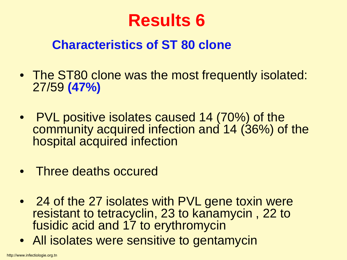### **Characteristics of ST 80 clone**

- The ST80 clone was the most frequently isolated: 27/59 **(47%)**
- PVL positive isolates caused 14 (70%) of the community acquired infection and 14 (36%) of the hospital acquired infection
- Three deaths occured
- 24 of the 27 isolates with PVL gene toxin were resistant to tetracyclin, 23 to kanamycin , 22 to fusidic acid and 17 to erythromycin
- All isolates were sensitive to gentamycin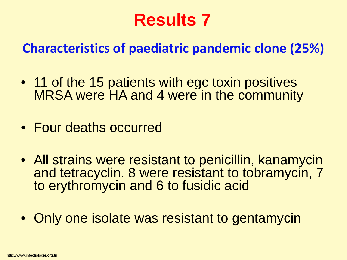### **Characteristics of paediatric pandemic clone (25%)**

- 11 of the 15 patients with egc toxin positives MRSA were HA and 4 were in the community
- Four deaths occurred
- All strains were resistant to penicillin, kanamycin and tetracyclin. 8 were resistant to tobramycin, 7 to erythromycin and 6 to fusidic acid
- Only one isolate was resistant to gentamycin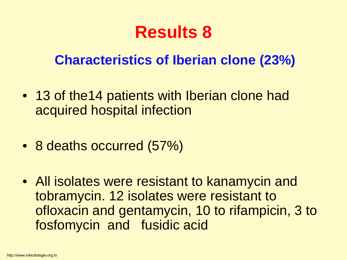### **Characteristics of Iberian clone (23%)**

- 13 of the14 patients with Iberian clone had acquired hospital infection
- 8 deaths occurred (57%)
- All isolates were resistant to kanamycin and tobramycin. 12 isolates were resistant to ofloxacin and gentamycin, 10 to rifampicin, 3 to fosfomycin and fusidic acid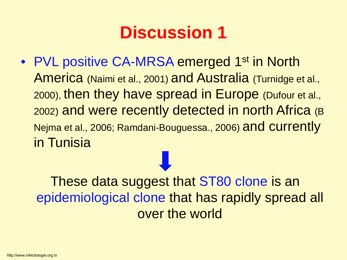• PVL positive CA-MRSA emerged 1<sup>st</sup> in North America (Naimi et al., 2001) and Australia (Turnidge et al., 2000), then they have spread in Europe (Dufour et al., 2002) and were recently detected in north Africa (B Nejma et al., 2006; Ramdani-Bouguessa., 2006) and currently in Tunisia

These data suggest that ST80 clone is an epidemiological clone that has rapidly spread all over the world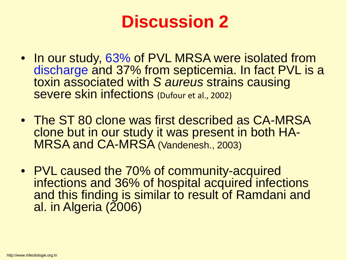- In our study, 63% of PVL MRSA were isolated from discharge and 37% from septicemia. In fact PVL is a toxin associated with *S aureus* strains causing severe skin infections (Dufour et al., 2002)
- The ST 80 clone was first described as CA-MRSA clone but in our study it was present in both HA- MRSA and CA-MRSA (Vandenesh., 2003)
- PVL caused the 70% of community-acquired infections and 36% of hospital acquired infections and this finding is similar to result of Ramdani and al. in Algeria (2006)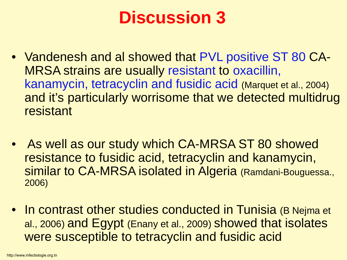- Vandenesh and al showed that PVL positive ST 80 CA-MRSA strains are usually resistant to oxacillin, kanamycin, tetracyclin and fusidic acid (Marquet et al., 2004) and it's particularly worrisome that we detected multidrug resistant
- As well as our study which CA-MRSA ST 80 showed resistance to fusidic acid, tetracyclin and kanamycin, similar to CA-MRSA isolated in Algeria (Ramdani-Bouguessa., 2006)
- In contrast other studies conducted in Tunisia (B Nejma et al., 2006) and Egypt (Enany et al., 2009) showed that isolates were susceptible to tetracyclin and fusidic acid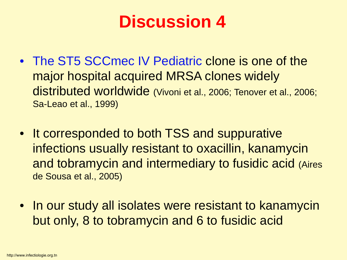- The ST5 SCCmec IV Pediatric clone is one of the major hospital acquired MRSA clones widely distributed worldwide (Vivoni et al., 2006; Tenover et al., 2006; Sa-Leao et al., 1999)
- It corresponded to both TSS and suppurative infections usually resistant to oxacillin, kanamycin and tobramycin and intermediary to fusidic acid (Aires de Sousa et al., 2005)
- In our study all isolates were resistant to kanamycin but only, 8 to tobramycin and 6 to fusidic acid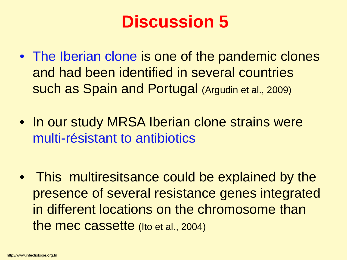- The Iberian clone is one of the pandemic clones and had been identified in several countries such as Spain and Portugal (Argudin et al., 2009)
- In our study MRSA Iberian clone strains were multi-résistant to antibiotics
- This multiresitsance could be explained by the presence of several resistance genes integrated in different locations on the chromosome than the mec cassette (Ito et al., 2004)